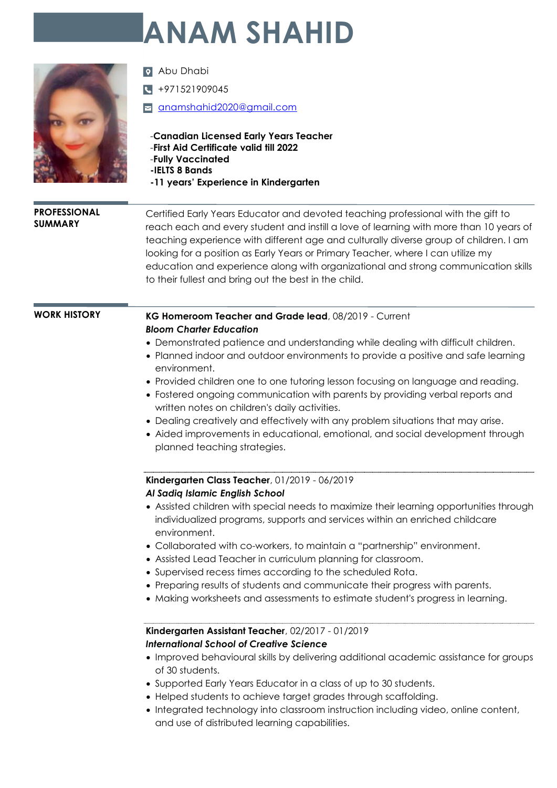# **ANAM SHAHID**



**Q** Abu Dhabi

 $\sqrt{4}$  +971521909045

[anamshahid2020@gmail.com](mailto:anamshahid2020@gmail.com) 

#### **PROFESSIONAL SUMMARY**

Certified Early Years Educator and devoted teaching professional with the gift to reach each and every student and instill a love of learning with more than 10 years of teaching experience with different age and culturally diverse group of children. I am looking for a position as Early Years or Primary Teacher, where I can utilize my education and experience along with organizational and strong communication skills to their fullest and bring out the best in the child.

#### **WORK HISTORY KG Homeroom Teacher and Grade lead**, 08/2019 - Current *Bloom Charter Education*

- Demonstrated patience and understanding while dealing with difficult children.
- Planned indoor and outdoor environments to provide a positive and safe learning environment.
- Provided children one to one tutoring lesson focusing on language and reading.
- Fostered ongoing communication with parents by providing verbal reports and written notes on children's daily activities.
- Dealing creatively and effectively with any problem situations that may arise.
- Aided improvements in educational, emotional, and social development through planned teaching strategies.

## **Kindergarten Class Teacher**, 01/2019 - 06/2019

#### *Al Sadiq Islamic English School*

- Assisted children with special needs to maximize their learning opportunities through individualized programs, supports and services within an enriched childcare environment.
- Collaborated with co-workers, to maintain a "partnership" environment.
- Assisted Lead Teacher in curriculum planning for classroom.
- Supervised recess times according to the scheduled Rota.
- Preparing results of students and communicate their progress with parents.
- Making worksheets and assessments to estimate student's progress in learning.

### **Kindergarten Assistant Teacher**, 02/2017 - 01/2019 *International School of Creative Science*

- Improved behavioural skills by delivering additional academic assistance for groups of 30 students.
- Supported Early Years Educator in a class of up to 30 students.
- Helped students to achieve target grades through scaffolding.
- Integrated technology into classroom instruction including video, online content, and use of distributed learning capabilities.